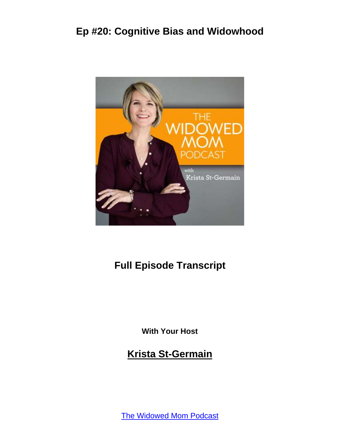

### **Full Episode Transcript**

**With Your Host**

**Krista St-Germain**

[The Widowed Mom Podcast](https://coachingwithkrista.com/podcast)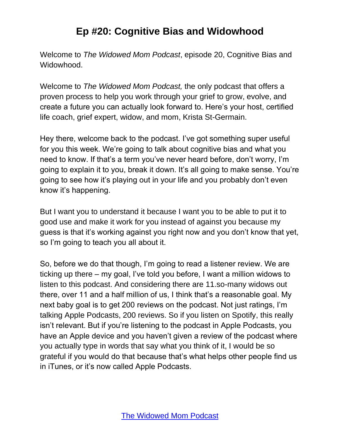Welcome to *The Widowed Mom Podcast*, episode 20, Cognitive Bias and Widowhood.

Welcome to *The Widowed Mom Podcast,* the only podcast that offers a proven process to help you work through your grief to grow, evolve, and create a future you can actually look forward to. Here's your host, certified life coach, grief expert, widow, and mom, Krista St-Germain.

Hey there, welcome back to the podcast. I've got something super useful for you this week. We're going to talk about cognitive bias and what you need to know. If that's a term you've never heard before, don't worry, I'm going to explain it to you, break it down. It's all going to make sense. You're going to see how it's playing out in your life and you probably don't even know it's happening.

But I want you to understand it because I want you to be able to put it to good use and make it work for you instead of against you because my guess is that it's working against you right now and you don't know that yet, so I'm going to teach you all about it.

So, before we do that though, I'm going to read a listener review. We are ticking up there – my goal, I've told you before, I want a million widows to listen to this podcast. And considering there are 11.so-many widows out there, over 11 and a half million of us, I think that's a reasonable goal. My next baby goal is to get 200 reviews on the podcast. Not just ratings, I'm talking Apple Podcasts, 200 reviews. So if you listen on Spotify, this really isn't relevant. But if you're listening to the podcast in Apple Podcasts, you have an Apple device and you haven't given a review of the podcast where you actually type in words that say what you think of it, I would be so grateful if you would do that because that's what helps other people find us in iTunes, or it's now called Apple Podcasts.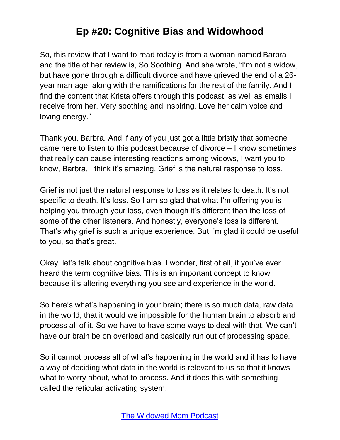So, this review that I want to read today is from a woman named Barbra and the title of her review is, So Soothing. And she wrote, "I'm not a widow, but have gone through a difficult divorce and have grieved the end of a 26 year marriage, along with the ramifications for the rest of the family. And I find the content that Krista offers through this podcast, as well as emails I receive from her. Very soothing and inspiring. Love her calm voice and loving energy."

Thank you, Barbra. And if any of you just got a little bristly that someone came here to listen to this podcast because of divorce – I know sometimes that really can cause interesting reactions among widows, I want you to know, Barbra, I think it's amazing. Grief is the natural response to loss.

Grief is not just the natural response to loss as it relates to death. It's not specific to death. It's loss. So I am so glad that what I'm offering you is helping you through your loss, even though it's different than the loss of some of the other listeners. And honestly, everyone's loss is different. That's why grief is such a unique experience. But I'm glad it could be useful to you, so that's great.

Okay, let's talk about cognitive bias. I wonder, first of all, if you've ever heard the term cognitive bias. This is an important concept to know because it's altering everything you see and experience in the world.

So here's what's happening in your brain; there is so much data, raw data in the world, that it would we impossible for the human brain to absorb and process all of it. So we have to have some ways to deal with that. We can't have our brain be on overload and basically run out of processing space.

So it cannot process all of what's happening in the world and it has to have a way of deciding what data in the world is relevant to us so that it knows what to worry about, what to process. And it does this with something called the reticular activating system.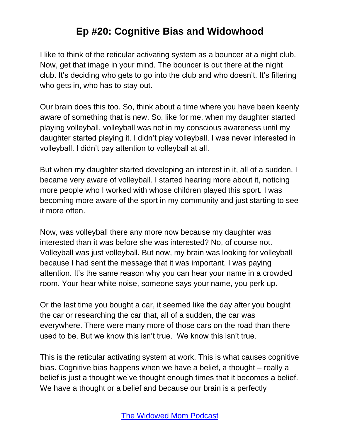I like to think of the reticular activating system as a bouncer at a night club. Now, get that image in your mind. The bouncer is out there at the night club. It's deciding who gets to go into the club and who doesn't. It's filtering who gets in, who has to stay out.

Our brain does this too. So, think about a time where you have been keenly aware of something that is new. So, like for me, when my daughter started playing volleyball, volleyball was not in my conscious awareness until my daughter started playing it. I didn't play volleyball. I was never interested in volleyball. I didn't pay attention to volleyball at all.

But when my daughter started developing an interest in it, all of a sudden, I became very aware of volleyball. I started hearing more about it, noticing more people who I worked with whose children played this sport. I was becoming more aware of the sport in my community and just starting to see it more often.

Now, was volleyball there any more now because my daughter was interested than it was before she was interested? No, of course not. Volleyball was just volleyball. But now, my brain was looking for volleyball because I had sent the message that it was important. I was paying attention. It's the same reason why you can hear your name in a crowded room. Your hear white noise, someone says your name, you perk up.

Or the last time you bought a car, it seemed like the day after you bought the car or researching the car that, all of a sudden, the car was everywhere. There were many more of those cars on the road than there used to be. But we know this isn't true. We know this isn't true.

This is the reticular activating system at work. This is what causes cognitive bias. Cognitive bias happens when we have a belief, a thought – really a belief is just a thought we've thought enough times that it becomes a belief. We have a thought or a belief and because our brain is a perfectly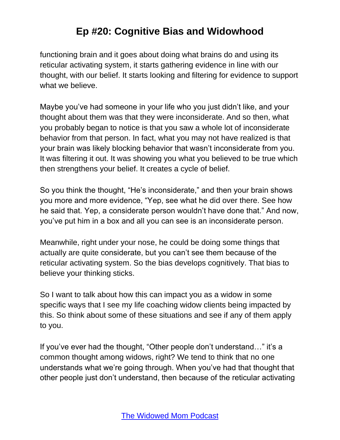functioning brain and it goes about doing what brains do and using its reticular activating system, it starts gathering evidence in line with our thought, with our belief. It starts looking and filtering for evidence to support what we believe.

Maybe you've had someone in your life who you just didn't like, and your thought about them was that they were inconsiderate. And so then, what you probably began to notice is that you saw a whole lot of inconsiderate behavior from that person. In fact, what you may not have realized is that your brain was likely blocking behavior that wasn't inconsiderate from you. It was filtering it out. It was showing you what you believed to be true which then strengthens your belief. It creates a cycle of belief.

So you think the thought, "He's inconsiderate," and then your brain shows you more and more evidence, "Yep, see what he did over there. See how he said that. Yep, a considerate person wouldn't have done that." And now, you've put him in a box and all you can see is an inconsiderate person.

Meanwhile, right under your nose, he could be doing some things that actually are quite considerate, but you can't see them because of the reticular activating system. So the bias develops cognitively. That bias to believe your thinking sticks.

So I want to talk about how this can impact you as a widow in some specific ways that I see my life coaching widow clients being impacted by this. So think about some of these situations and see if any of them apply to you.

If you've ever had the thought, "Other people don't understand…" it's a common thought among widows, right? We tend to think that no one understands what we're going through. When you've had that thought that other people just don't understand, then because of the reticular activating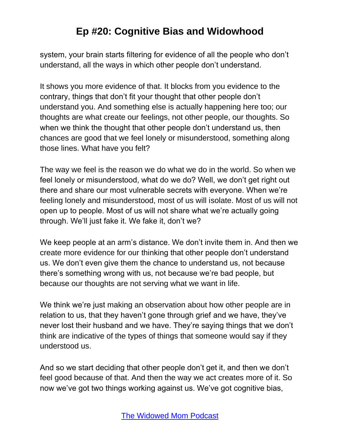system, your brain starts filtering for evidence of all the people who don't understand, all the ways in which other people don't understand.

It shows you more evidence of that. It blocks from you evidence to the contrary, things that don't fit your thought that other people don't understand you. And something else is actually happening here too; our thoughts are what create our feelings, not other people, our thoughts. So when we think the thought that other people don't understand us, then chances are good that we feel lonely or misunderstood, something along those lines. What have you felt?

The way we feel is the reason we do what we do in the world. So when we feel lonely or misunderstood, what do we do? Well, we don't get right out there and share our most vulnerable secrets with everyone. When we're feeling lonely and misunderstood, most of us will isolate. Most of us will not open up to people. Most of us will not share what we're actually going through. We'll just fake it. We fake it, don't we?

We keep people at an arm's distance. We don't invite them in. And then we create more evidence for our thinking that other people don't understand us. We don't even give them the chance to understand us, not because there's something wrong with us, not because we're bad people, but because our thoughts are not serving what we want in life.

We think we're just making an observation about how other people are in relation to us, that they haven't gone through grief and we have, they've never lost their husband and we have. They're saying things that we don't think are indicative of the types of things that someone would say if they understood us.

And so we start deciding that other people don't get it, and then we don't feel good because of that. And then the way we act creates more of it. So now we've got two things working against us. We've got cognitive bias,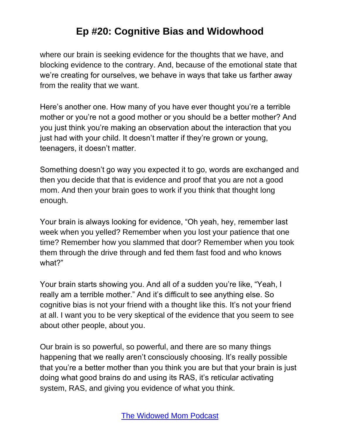where our brain is seeking evidence for the thoughts that we have, and blocking evidence to the contrary. And, because of the emotional state that we're creating for ourselves, we behave in ways that take us farther away from the reality that we want.

Here's another one. How many of you have ever thought you're a terrible mother or you're not a good mother or you should be a better mother? And you just think you're making an observation about the interaction that you just had with your child. It doesn't matter if they're grown or young, teenagers, it doesn't matter.

Something doesn't go way you expected it to go, words are exchanged and then you decide that that is evidence and proof that you are not a good mom. And then your brain goes to work if you think that thought long enough.

Your brain is always looking for evidence, "Oh yeah, hey, remember last week when you yelled? Remember when you lost your patience that one time? Remember how you slammed that door? Remember when you took them through the drive through and fed them fast food and who knows what?"

Your brain starts showing you. And all of a sudden you're like, "Yeah, I really am a terrible mother." And it's difficult to see anything else. So cognitive bias is not your friend with a thought like this. It's not your friend at all. I want you to be very skeptical of the evidence that you seem to see about other people, about you.

Our brain is so powerful, so powerful, and there are so many things happening that we really aren't consciously choosing. It's really possible that you're a better mother than you think you are but that your brain is just doing what good brains do and using its RAS, it's reticular activating system, RAS, and giving you evidence of what you think.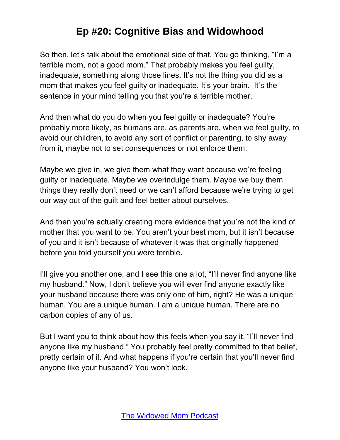So then, let's talk about the emotional side of that. You go thinking, "I'm a terrible mom, not a good mom." That probably makes you feel guilty, inadequate, something along those lines. It's not the thing you did as a mom that makes you feel quilty or inadequate. It's your brain. It's the sentence in your mind telling you that you're a terrible mother.

And then what do you do when you feel guilty or inadequate? You're probably more likely, as humans are, as parents are, when we feel guilty, to avoid our children, to avoid any sort of conflict or parenting, to shy away from it, maybe not to set consequences or not enforce them.

Maybe we give in, we give them what they want because we're feeling guilty or inadequate. Maybe we overindulge them. Maybe we buy them things they really don't need or we can't afford because we're trying to get our way out of the guilt and feel better about ourselves.

And then you're actually creating more evidence that you're not the kind of mother that you want to be. You aren't your best mom, but it isn't because of you and it isn't because of whatever it was that originally happened before you told yourself you were terrible.

I'll give you another one, and I see this one a lot, "I'll never find anyone like my husband." Now, I don't believe you will ever find anyone exactly like your husband because there was only one of him, right? He was a unique human. You are a unique human. I am a unique human. There are no carbon copies of any of us.

But I want you to think about how this feels when you say it, "I'll never find anyone like my husband." You probably feel pretty committed to that belief, pretty certain of it. And what happens if you're certain that you'll never find anyone like your husband? You won't look.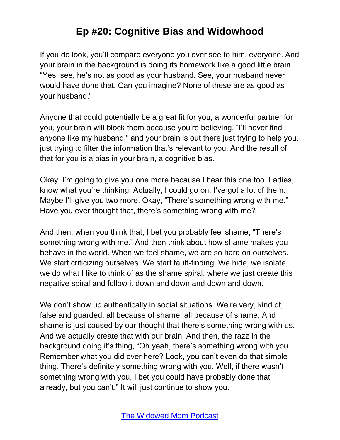If you do look, you'll compare everyone you ever see to him, everyone. And your brain in the background is doing its homework like a good little brain. "Yes, see, he's not as good as your husband. See, your husband never would have done that. Can you imagine? None of these are as good as your husband."

Anyone that could potentially be a great fit for you, a wonderful partner for you, your brain will block them because you're believing, "I'll never find anyone like my husband," and your brain is out there just trying to help you, just trying to filter the information that's relevant to you. And the result of that for you is a bias in your brain, a cognitive bias.

Okay, I'm going to give you one more because I hear this one too. Ladies, I know what you're thinking. Actually, I could go on, I've got a lot of them. Maybe I'll give you two more. Okay, "There's something wrong with me." Have you ever thought that, there's something wrong with me?

And then, when you think that, I bet you probably feel shame, "There's something wrong with me." And then think about how shame makes you behave in the world. When we feel shame, we are so hard on ourselves. We start criticizing ourselves. We start fault-finding. We hide, we isolate, we do what I like to think of as the shame spiral, where we just create this negative spiral and follow it down and down and down and down.

We don't show up authentically in social situations. We're very, kind of, false and guarded, all because of shame, all because of shame. And shame is just caused by our thought that there's something wrong with us. And we actually create that with our brain. And then, the razz in the background doing it's thing, "Oh yeah, there's something wrong with you. Remember what you did over here? Look, you can't even do that simple thing. There's definitely something wrong with you. Well, if there wasn't something wrong with you, I bet you could have probably done that already, but you can't." It will just continue to show you.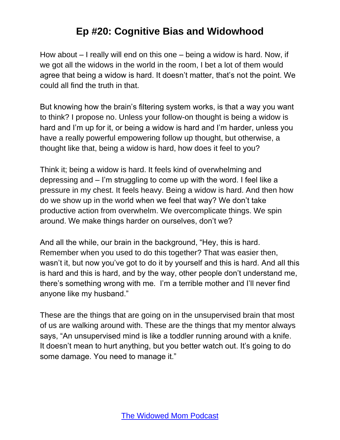How about – I really will end on this one – being a widow is hard. Now, if we got all the widows in the world in the room, I bet a lot of them would agree that being a widow is hard. It doesn't matter, that's not the point. We could all find the truth in that.

But knowing how the brain's filtering system works, is that a way you want to think? I propose no. Unless your follow-on thought is being a widow is hard and I'm up for it, or being a widow is hard and I'm harder, unless you have a really powerful empowering follow up thought, but otherwise, a thought like that, being a widow is hard, how does it feel to you?

Think it; being a widow is hard. It feels kind of overwhelming and depressing and – I'm struggling to come up with the word. I feel like a pressure in my chest. It feels heavy. Being a widow is hard. And then how do we show up in the world when we feel that way? We don't take productive action from overwhelm. We overcomplicate things. We spin around. We make things harder on ourselves, don't we?

And all the while, our brain in the background, "Hey, this is hard. Remember when you used to do this together? That was easier then, wasn't it, but now you've got to do it by yourself and this is hard. And all this is hard and this is hard, and by the way, other people don't understand me, there's something wrong with me. I'm a terrible mother and I'll never find anyone like my husband."

These are the things that are going on in the unsupervised brain that most of us are walking around with. These are the things that my mentor always says, "An unsupervised mind is like a toddler running around with a knife. It doesn't mean to hurt anything, but you better watch out. It's going to do some damage. You need to manage it."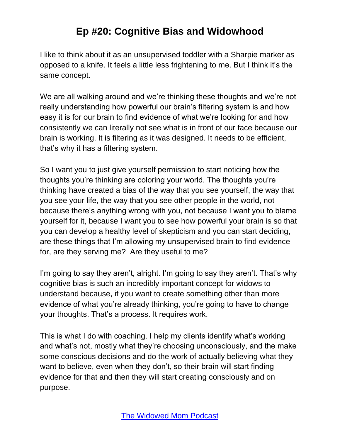I like to think about it as an unsupervised toddler with a Sharpie marker as opposed to a knife. It feels a little less frightening to me. But I think it's the same concept.

We are all walking around and we're thinking these thoughts and we're not really understanding how powerful our brain's filtering system is and how easy it is for our brain to find evidence of what we're looking for and how consistently we can literally not see what is in front of our face because our brain is working. It is filtering as it was designed. It needs to be efficient, that's why it has a filtering system.

So I want you to just give yourself permission to start noticing how the thoughts you're thinking are coloring your world. The thoughts you're thinking have created a bias of the way that you see yourself, the way that you see your life, the way that you see other people in the world, not because there's anything wrong with you, not because I want you to blame yourself for it, because I want you to see how powerful your brain is so that you can develop a healthy level of skepticism and you can start deciding, are these things that I'm allowing my unsupervised brain to find evidence for, are they serving me? Are they useful to me?

I'm going to say they aren't, alright. I'm going to say they aren't. That's why cognitive bias is such an incredibly important concept for widows to understand because, if you want to create something other than more evidence of what you're already thinking, you're going to have to change your thoughts. That's a process. It requires work.

This is what I do with coaching. I help my clients identify what's working and what's not, mostly what they're choosing unconsciously, and the make some conscious decisions and do the work of actually believing what they want to believe, even when they don't, so their brain will start finding evidence for that and then they will start creating consciously and on purpose.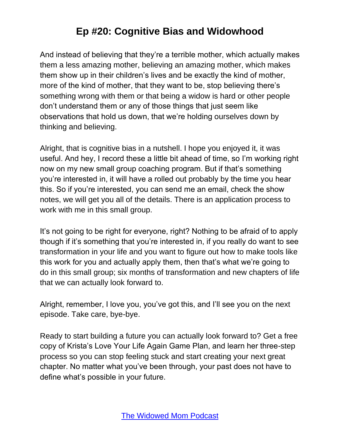And instead of believing that they're a terrible mother, which actually makes them a less amazing mother, believing an amazing mother, which makes them show up in their children's lives and be exactly the kind of mother, more of the kind of mother, that they want to be, stop believing there's something wrong with them or that being a widow is hard or other people don't understand them or any of those things that just seem like observations that hold us down, that we're holding ourselves down by thinking and believing.

Alright, that is cognitive bias in a nutshell. I hope you enjoyed it, it was useful. And hey, I record these a little bit ahead of time, so I'm working right now on my new small group coaching program. But if that's something you're interested in, it will have a rolled out probably by the time you hear this. So if you're interested, you can send me an email, check the show notes, we will get you all of the details. There is an application process to work with me in this small group.

It's not going to be right for everyone, right? Nothing to be afraid of to apply though if it's something that you're interested in, if you really do want to see transformation in your life and you want to figure out how to make tools like this work for you and actually apply them, then that's what we're going to do in this small group; six months of transformation and new chapters of life that we can actually look forward to.

Alright, remember, I love you, you've got this, and I'll see you on the next episode. Take care, bye-bye.

Ready to start building a future you can actually look forward to? Get a free copy of Krista's Love Your Life Again Game Plan, and learn her three-step process so you can stop feeling stuck and start creating your next great chapter. No matter what you've been through, your past does not have to define what's possible in your future.